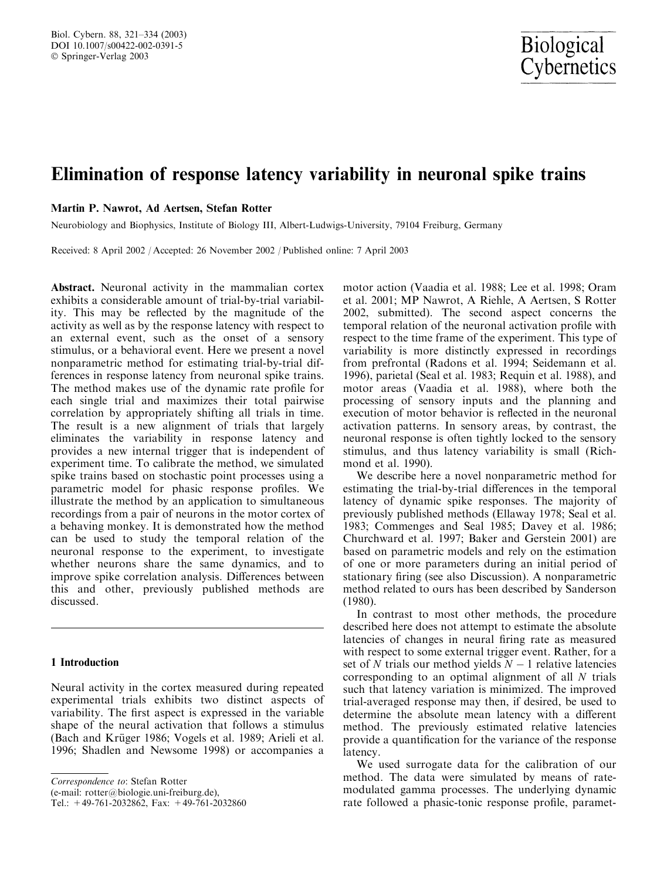# Elimination of response latency variability in neuronal spike trains

# Martin P. Nawrot, Ad Aertsen, Stefan Rotter

Neurobiology and Biophysics, Institute of Biology III, Albert-Ludwigs-University, 79104 Freiburg, Germany

Received: 8 April 2002 / Accepted: 26 November 2002 / Published online: 7 April 2003

Abstract. Neuronal activity in the mammalian cortex exhibits a considerable amount of trial-by-trial variability. This may be reflected by the magnitude of the activity as well as by the response latency with respect to an external event, such as the onset of a sensory stimulus, or a behavioral event. Here we present a novel nonparametric method for estimating trial-by-trial differences in response latency from neuronal spike trains. The method makes use of the dynamic rate profile for each single trial and maximizes their total pairwise correlation by appropriately shifting all trials in time. The result is a new alignment of trials that largely eliminates the variability in response latency and provides a new internal trigger that is independent of experiment time. To calibrate the method, we simulated spike trains based on stochastic point processes using a parametric model for phasic response profiles. We illustrate the method by an application to simultaneous recordings from a pair of neurons in the motor cortex of a behaving monkey. It is demonstrated how the method can be used to study the temporal relation of the neuronal response to the experiment, to investigate whether neurons share the same dynamics, and to improve spike correlation analysis. Differences between this and other, previously published methods are discussed.

# 1 Introduction

Neural activity in the cortex measured during repeated experimental trials exhibits two distinct aspects of variability. The first aspect is expressed in the variable shape of the neural activation that follows a stimulus (Bach and Krüger 1986; Vogels et al. 1989; Arieli et al. 1996; Shadlen and Newsome 1998) or accompanies a

Correspondence to: Stefan Rotter

(e-mail: rotter@biologie.uni-freiburg.de),

Tel.: +49-761-2032862, Fax: +49-761-2032860

motor action (Vaadia et al. 1988; Lee et al. 1998; Oram et al. 2001; MP Nawrot, A Riehle, A Aertsen, S Rotter 2002, submitted). The second aspect concerns the temporal relation of the neuronal activation profile with respect to the time frame of the experiment. This type of variability is more distinctly expressed in recordings from prefrontal (Radons et al. 1994; Seidemann et al. 1996), parietal (Seal et al. 1983; Requin et al. 1988), and motor areas (Vaadia et al. 1988), where both the processing of sensory inputs and the planning and execution of motor behavior is reflected in the neuronal activation patterns. In sensory areas, by contrast, the neuronal response is often tightly locked to the sensory stimulus, and thus latency variability is small (Richmond et al. 1990).

We describe here a novel nonparametric method for estimating the trial-by-trial differences in the temporal latency of dynamic spike responses. The majority of previously published methods (Ellaway 1978; Seal et al. 1983; Commenges and Seal 1985; Davey et al. 1986; Churchward et al. 1997; Baker and Gerstein 2001) are based on parametric models and rely on the estimation of one or more parameters during an initial period of stationary firing (see also Discussion). A nonparametric method related to ours has been described by Sanderson (1980).

In contrast to most other methods, the procedure described here does not attempt to estimate the absolute latencies of changes in neural firing rate as measured with respect to some external trigger event. Rather, for a set of N trials our method yields  $N - 1$  relative latencies corresponding to an optimal alignment of all N trials such that latency variation is minimized. The improved trial-averaged response may then, if desired, be used to determine the absolute mean latency with a different method. The previously estimated relative latencies provide a quantification for the variance of the response latency.

We used surrogate data for the calibration of our method. The data were simulated by means of ratemodulated gamma processes. The underlying dynamic rate followed a phasic-tonic response profile, paramet-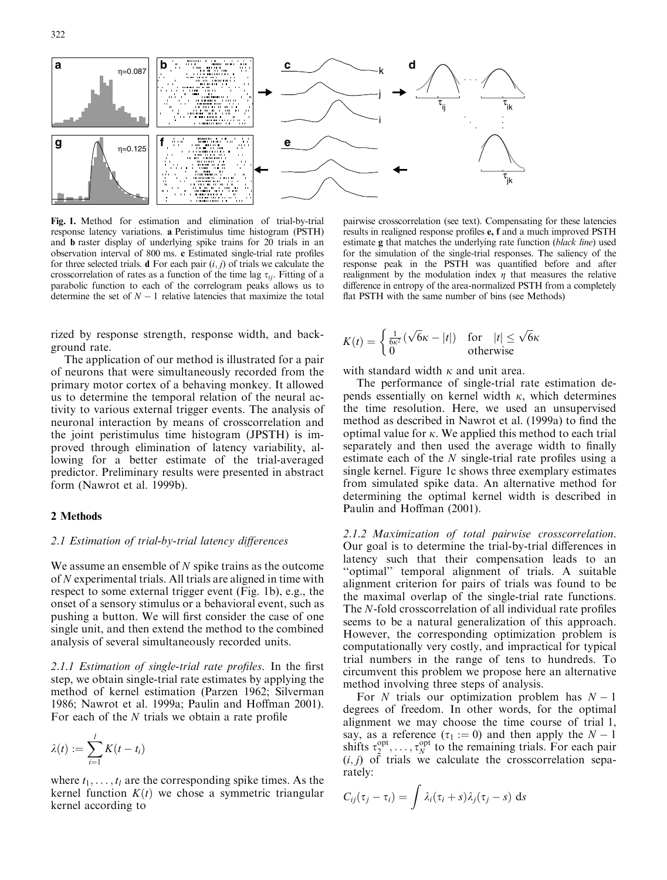

Fig. 1. Method for estimation and elimination of trial-by-trial response latency variations. a Peristimulus time histogram (PSTH) and b raster display of underlying spike trains for 20 trials in an observation interval of 800 ms. c Estimated single-trial rate profiles for three selected trials. **d** For each pair  $(i, j)$  of trials we calculate the crosscorrelation of rates as a function of the time lag  $\tau_{ij}$ . Fitting of a parabolic function to each of the correlogram peaks allows us to determine the set of  $N - 1$  relative latencies that maximize the total

rized by response strength, response width, and background rate.

The application of our method is illustrated for a pair of neurons that were simultaneously recorded from the primary motor cortex of a behaving monkey. It allowed us to determine the temporal relation of the neural activity to various external trigger events. The analysis of neuronal interaction by means of crosscorrelation and the joint peristimulus time histogram (JPSTH) is improved through elimination of latency variability, allowing for a better estimate of the trial-averaged predictor. Preliminary results were presented in abstract form (Nawrot et al. 1999b).

#### 2 Methods

#### 2.1 Estimation of trial-by-trial latency differences

We assume an ensemble of  $N$  spike trains as the outcome of N experimental trials. All trials are aligned in time with respect to some external trigger event (Fig. 1b), e.g., the onset of a sensory stimulus or a behavioral event, such as pushing a button. We will first consider the case of one single unit, and then extend the method to the combined analysis of several simultaneously recorded units.

2.1.1 Estimation of single-trial rate profiles. In the first step, we obtain single-trial rate estimates by applying the method of kernel estimation (Parzen 1962; Silverman 1986; Nawrot et al. 1999a; Paulin and Hoffman 2001). For each of the N trials we obtain a rate profile

$$
\lambda(t) := \sum_{i=1}^l K(t-t_i)
$$

where  $t_1, \ldots, t_l$  are the corresponding spike times. As the kernel function  $K(t)$  we chose a symmetric triangular kernel according to

pairwise crosscorrelation (see text). Compensating for these latencies results in realigned response profiles e, f and a much improved PSTH estimate g that matches the underlying rate function (black line) used for the simulation of the single-trial responses. The saliency of the response peak in the PSTH was quantified before and after realignment by the modulation index  $\eta$  that measures the relative difference in entropy of the area-normalized PSTH from a completely flat PSTH with the same number of bins (see Methods)

$$
K(t) = \begin{cases} \frac{1}{6\kappa^2}(\sqrt{6}\kappa - |t|) & \text{for } |t| \le \sqrt{6}\kappa\\ 0 & \text{otherwise} \end{cases}
$$

with standard width  $\kappa$  and unit area.

The performance of single-trial rate estimation depends essentially on kernel width  $\kappa$ , which determines the time resolution. Here, we used an unsupervised method as described in Nawrot et al. (1999a) to find the optimal value for  $\kappa$ . We applied this method to each trial separately and then used the average width to finally estimate each of the N single-trial rate profiles using a single kernel. Figure 1c shows three exemplary estimates from simulated spike data. An alternative method for determining the optimal kernel width is described in Paulin and Hoffman (2001).

2.1.2 Maximization of total pairwise crosscorrelation. Our goal is to determine the trial-by-trial differences in latency such that their compensation leads to an ''optimal'' temporal alignment of trials. A suitable alignment criterion for pairs of trials was found to be the maximal overlap of the single-trial rate functions. The N-fold crosscorrelation of all individual rate profiles seems to be a natural generalization of this approach. However, the corresponding optimization problem is computationally very costly, and impractical for typical trial numbers in the range of tens to hundreds. To circumvent this problem we propose here an alternative method involving three steps of analysis.

For N trials our optimization problem has  $N - 1$ degrees of freedom. In other words, for the optimal alignment we may choose the time course of trial 1, say, as a reference ( $\tau_1 := 0$ ) and then apply the  $N - 1$ shifts  $\tau_2^{\text{opt}}, \ldots, \tau_N^{\text{opt}}$  to the remaining trials. For each pair  $(i, j)$  of trials we calculate the crosscorrelation separately:

$$
C_{ij}(\tau_j - \tau_i) = \int \lambda_i(\tau_i + s)\lambda_j(\tau_j - s) \, ds
$$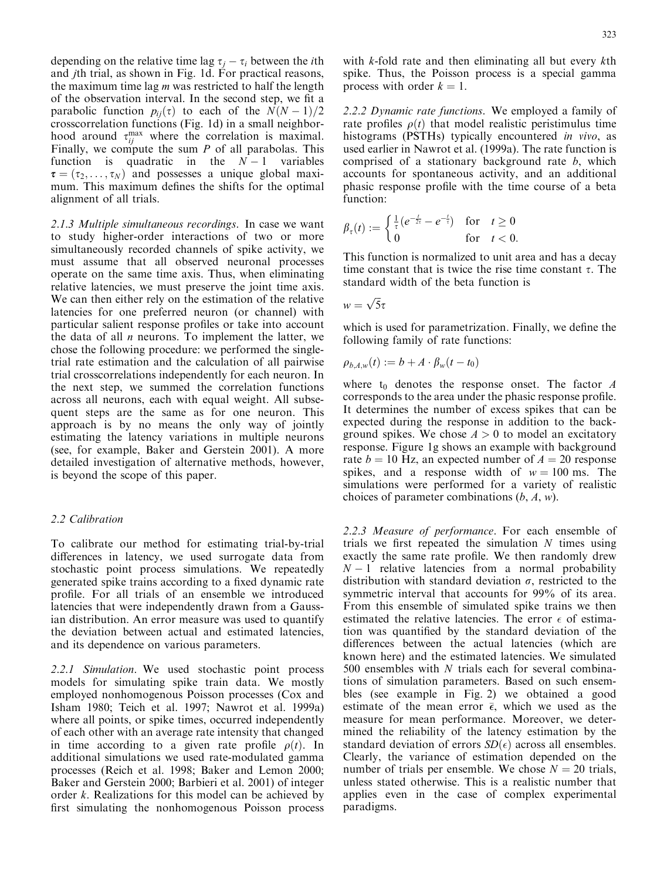depending on the relative time lag  $\tau_i - \tau_i$  between the *i*th and jth trial, as shown in Fig. 1d. For practical reasons, the maximum time lag  $m$  was restricted to half the length of the observation interval. In the second step, we fit a parabolic function  $p_{ij}(\tau)$  to each of the  $N(N-1)/2$ crosscorrelation functions (Fig. 1d) in a small neighborhood around  $\tau_{ij}^{\text{max}}$  where the correlation is maximal. Finally, we compute the sum  $P$  of all parabolas. This function is quadratic in the  $N-1$  variables  $\tau = (\tau_2, \ldots, \tau_N)$  and possesses a unique global maximum. This maximum defines the shifts for the optimal alignment of all trials.

2.1.3 Multiple simultaneous recordings. In case we want to study higher-order interactions of two or more simultaneously recorded channels of spike activity, we must assume that all observed neuronal processes operate on the same time axis. Thus, when eliminating relative latencies, we must preserve the joint time axis. We can then either rely on the estimation of the relative latencies for one preferred neuron (or channel) with particular salient response profiles or take into account the data of all  $n$  neurons. To implement the latter, we chose the following procedure: we performed the singletrial rate estimation and the calculation of all pairwise trial crosscorrelations independently for each neuron. In the next step, we summed the correlation functions across all neurons, each with equal weight. All subsequent steps are the same as for one neuron. This approach is by no means the only way of jointly estimating the latency variations in multiple neurons (see, for example, Baker and Gerstein 2001). A more detailed investigation of alternative methods, however, is beyond the scope of this paper.

# 2.2 Calibration

To calibrate our method for estimating trial-by-trial differences in latency, we used surrogate data from stochastic point process simulations. We repeatedly generated spike trains according to a fixed dynamic rate profile. For all trials of an ensemble we introduced latencies that were independently drawn from a Gaussian distribution. An error measure was used to quantify the deviation between actual and estimated latencies, and its dependence on various parameters.

2.2.1 Simulation. We used stochastic point process models for simulating spike train data. We mostly employed nonhomogenous Poisson processes (Cox and Isham 1980; Teich et al. 1997; Nawrot et al. 1999a) where all points, or spike times, occurred independently of each other with an average rate intensity that changed in time according to a given rate profile  $\rho(t)$ . In additional simulations we used rate-modulated gamma processes (Reich et al. 1998; Baker and Lemon 2000; Baker and Gerstein 2000; Barbieri et al. 2001) of integer order k. Realizations for this model can be achieved by first simulating the nonhomogenous Poisson process with k-fold rate and then eliminating all but every kth spike. Thus, the Poisson process is a special gamma process with order  $k = 1$ .

2.2.2 Dynamic rate functions. We employed a family of rate profiles  $\rho(t)$  that model realistic peristimulus time histograms (PSTHs) typically encountered in vivo, as used earlier in Nawrot et al. (1999a). The rate function is comprised of a stationary background rate b, which accounts for spontaneous activity, and an additional phasic response profile with the time course of a beta function:

$$
\beta_{\tau}(t) := \begin{cases} \frac{1}{\tau} (e^{-\frac{t}{2\tau}} - e^{-\frac{t}{\tau}}) & \text{for } t \ge 0\\ 0 & \text{for } t < 0. \end{cases}
$$

This function is normalized to unit area and has a decay time constant that is twice the rise time constant  $\tau$ . The standard width of the beta function is

$$
w=\sqrt{5}\tau
$$

which is used for parametrization. Finally, we define the following family of rate functions:

$$
\rho_{b,A,w}(t) := b + A \cdot \beta_w(t - t_0)
$$

where  $t_0$  denotes the response onset. The factor  $A$ corresponds to the area under the phasic response profile. It determines the number of excess spikes that can be expected during the response in addition to the background spikes. We chose  $A > 0$  to model an excitatory response. Figure 1g shows an example with background rate  $b = 10$  Hz, an expected number of  $A = 20$  response spikes, and a response width of  $w = 100$  ms. The simulations were performed for a variety of realistic choices of parameter combinations  $(b, A, w)$ .

2.2.3 Measure of performance. For each ensemble of trials we first repeated the simulation  $N$  times using exactly the same rate profile. We then randomly drew  $N-1$  relative latencies from a normal probability distribution with standard deviation  $\sigma$ , restricted to the symmetric interval that accounts for 99% of its area. From this ensemble of simulated spike trains we then estimated the relative latencies. The error  $\epsilon$  of estimation was quantified by the standard deviation of the differences between the actual latencies (which are known here) and the estimated latencies. We simulated 500 ensembles with N trials each for several combinations of simulation parameters. Based on such ensembles (see example in Fig. 2) we obtained a good estimate of the mean error  $\bar{\epsilon}$ , which we used as the measure for mean performance. Moreover, we determined the reliability of the latency estimation by the standard deviation of errors  $SD(\epsilon)$  across all ensembles. Clearly, the variance of estimation depended on the number of trials per ensemble. We chose  $N = 20$  trials, unless stated otherwise. This is a realistic number that applies even in the case of complex experimental paradigms.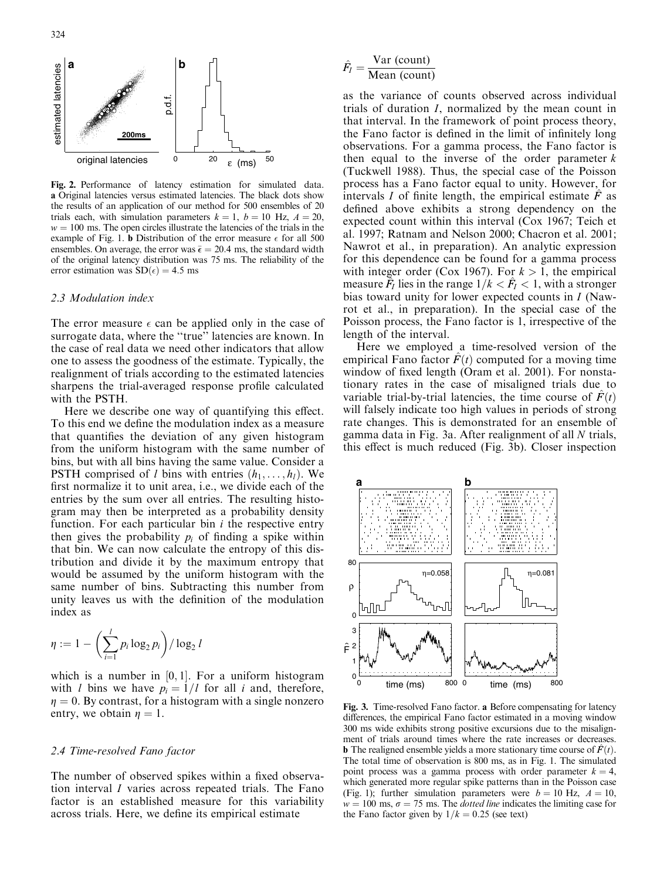

Fig. 2. Performance of latency estimation for simulated data. a Original latencies versus estimated latencies. The black dots show the results of an application of our method for 500 ensembles of 20 trials each, with simulation parameters  $k = 1$ ,  $b = 10$  Hz,  $A = 20$ ,  $w = 100$  ms. The open circles illustrate the latencies of the trials in the example of Fig. 1. **b** Distribution of the error measure  $\epsilon$  for all 500 ensembles. On average, the error was  $\bar{\epsilon} = 20.4$  ms, the standard width of the original latency distribution was 75 ms. The reliability of the error estimation was  $SD(\epsilon) = 4.5$  ms

#### 2.3 Modulation index

The error measure  $\epsilon$  can be applied only in the case of surrogate data, where the ''true'' latencies are known. In the case of real data we need other indicators that allow one to assess the goodness of the estimate. Typically, the realignment of trials according to the estimated latencies sharpens the trial-averaged response profile calculated with the PSTH.

Here we describe one way of quantifying this effect. To this end we define the modulation index as a measure that quantifies the deviation of any given histogram from the uniform histogram with the same number of bins, but with all bins having the same value. Consider a PSTH comprised of l bins with entries  $(h_1, \ldots, h_l)$ . We first normalize it to unit area, i.e., we divide each of the entries by the sum over all entries. The resulting histogram may then be interpreted as a probability density function. For each particular bin  $i$  the respective entry then gives the probability  $p_i$  of finding a spike within that bin. We can now calculate the entropy of this distribution and divide it by the maximum entropy that would be assumed by the uniform histogram with the same number of bins. Subtracting this number from unity leaves us with the definition of the modulation index as

$$
\eta := 1 - \left(\sum_{i=1}^{l} p_i \log_2 p_i\right) / \log_2 l
$$

which is a number in  $[0, 1]$ . For a uniform histogram with *l* bins we have  $p_i = 1/l$  for all *i* and, therefore,  $\eta = 0$ . By contrast, for a histogram with a single nonzero entry, we obtain  $\eta = 1$ .

#### 2.4 Time-resolved Fano factor

The number of observed spikes within a fixed observation interval I varies across repeated trials. The Fano factor is an established measure for this variability across trials. Here, we define its empirical estimate

# $\hat{F}_I = \frac{\text{Var (count)}}{\text{Mean (count)}}$

as the variance of counts observed across individual trials of duration I, normalized by the mean count in that interval. In the framework of point process theory, the Fano factor is defined in the limit of infinitely long observations. For a gamma process, the Fano factor is then equal to the inverse of the order parameter  $k$ (Tuckwell 1988). Thus, the special case of the Poisson process has a Fano factor equal to unity. However, for intervals I of finite length, the empirical estimate  $\ddot{F}$  as defined above exhibits a strong dependency on the expected count within this interval (Cox 1967; Teich et al. 1997; Ratnam and Nelson 2000; Chacron et al. 2001; Nawrot et al., in preparation). An analytic expression for this dependence can be found for a gamma process with integer order (Cox 1967). For  $k > 1$ , the empirical measure  $\tilde{F}_I$  lies in the range  $1/k < \hat{F}_I < 1$ , with a stronger bias toward unity for lower expected counts in I (Nawrot et al., in preparation). In the special case of the Poisson process, the Fano factor is 1, irrespective of the length of the interval.

Here we employed a time-resolved version of the empirical Fano factor  $F(t)$  computed for a moving time window of fixed length (Oram et al. 2001). For nonstationary rates in the case of misaligned trials due to variable trial-by-trial latencies, the time course of  $\hat{F}(t)$ will falsely indicate too high values in periods of strong rate changes. This is demonstrated for an ensemble of gamma data in Fig. 3a. After realignment of all N trials, this effect is much reduced (Fig. 3b). Closer inspection



Fig. 3. Time-resolved Fano factor. a Before compensating for latency differences, the empirical Fano factor estimated in a moving window 300 ms wide exhibits strong positive excursions due to the misalignment of trials around times where the rate increases or decreases. **b** The realigned ensemble yields a more stationary time course of  $\hat{F}(t)$ . The total time of observation is 800 ms, as in Fig. 1. The simulated point process was a gamma process with order parameter  $k = 4$ , which generated more regular spike patterns than in the Poisson case (Fig. 1); further simulation parameters were  $b = 10$  Hz,  $A = 10$ ,  $w = 100$  ms,  $\sigma = 75$  ms. The *dotted line* indicates the limiting case for the Fano factor given by  $1/k = 0.25$  (see text)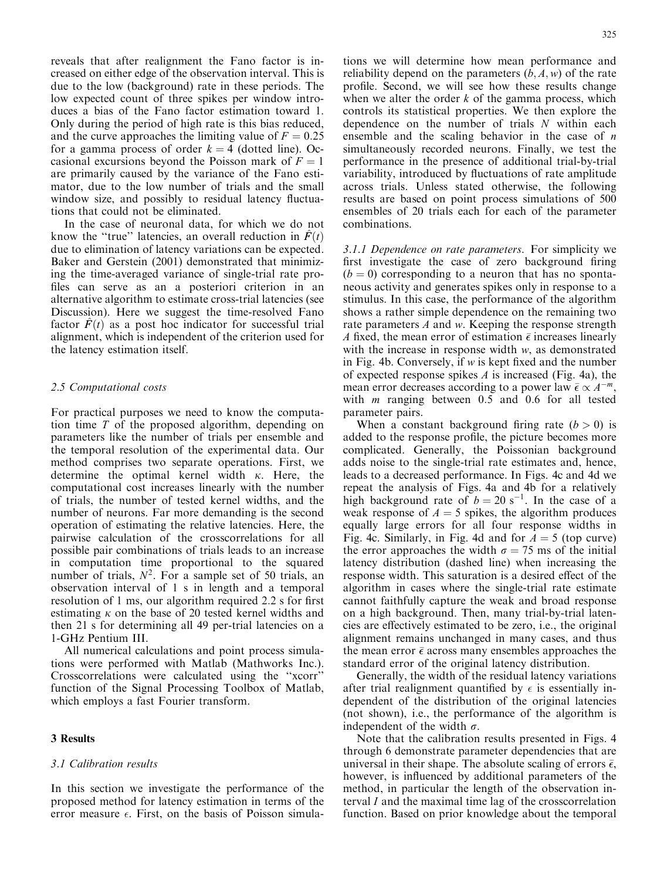reveals that after realignment the Fano factor is increased on either edge of the observation interval. This is due to the low (background) rate in these periods. The low expected count of three spikes per window introduces a bias of the Fano factor estimation toward 1. Only during the period of high rate is this bias reduced, and the curve approaches the limiting value of  $F = 0.25$ for a gamma process of order  $k = 4$  (dotted line). Occasional excursions beyond the Poisson mark of  $F = 1$ are primarily caused by the variance of the Fano estimator, due to the low number of trials and the small window size, and possibly to residual latency fluctuations that could not be eliminated.

In the case of neuronal data, for which we do not know the "true" latencies, an overall reduction in  $\ddot{F}(t)$ due to elimination of latency variations can be expected. Baker and Gerstein (2001) demonstrated that minimizing the time-averaged variance of single-trial rate profiles can serve as an a posteriori criterion in an alternative algorithm to estimate cross-trial latencies (see Discussion). Here we suggest the time-resolved Fano factor  $F(t)$  as a post hoc indicator for successful trial alignment, which is independent of the criterion used for the latency estimation itself.

#### 2.5 Computational costs

For practical purposes we need to know the computation time T of the proposed algorithm, depending on parameters like the number of trials per ensemble and the temporal resolution of the experimental data. Our method comprises two separate operations. First, we determine the optimal kernel width  $\kappa$ . Here, the computational cost increases linearly with the number of trials, the number of tested kernel widths, and the number of neurons. Far more demanding is the second operation of estimating the relative latencies. Here, the pairwise calculation of the crosscorrelations for all possible pair combinations of trials leads to an increase in computation time proportional to the squared number of trials,  $N^2$ . For a sample set of 50 trials, an observation interval of 1 s in length and a temporal resolution of 1 ms, our algorithm required 2:2 s for first estimating  $\kappa$  on the base of 20 tested kernel widths and then 21 s for determining all 49 per-trial latencies on a 1-GHz Pentium III.

All numerical calculations and point process simulations were performed with Matlab (Mathworks Inc.). Crosscorrelations were calculated using the ''xcorr'' function of the Signal Processing Toolbox of Matlab, which employs a fast Fourier transform.

# 3 Results

#### 3.1 Calibration results

In this section we investigate the performance of the proposed method for latency estimation in terms of the error measure  $\epsilon$ . First, on the basis of Poisson simulations we will determine how mean performance and reliability depend on the parameters  $(b, A, w)$  of the rate profile. Second, we will see how these results change when we alter the order  $k$  of the gamma process, which controls its statistical properties. We then explore the dependence on the number of trials N within each ensemble and the scaling behavior in the case of  $n$ simultaneously recorded neurons. Finally, we test the performance in the presence of additional trial-by-trial variability, introduced by fluctuations of rate amplitude across trials. Unless stated otherwise, the following results are based on point process simulations of 500 ensembles of 20 trials each for each of the parameter combinations.

3.1.1 Dependence on rate parameters. For simplicity we first investigate the case of zero background firing  $(b = 0)$  corresponding to a neuron that has no spontaneous activity and generates spikes only in response to a stimulus. In this case, the performance of the algorithm shows a rather simple dependence on the remaining two rate parameters A and w. Keeping the response strength A fixed, the mean error of estimation  $\bar{\epsilon}$  increases linearly with the increase in response width w, as demonstrated in Fig. 4b. Conversely, if w is kept fixed and the number of expected response spikes  $A$  is increased (Fig. 4a), the mean error decreases according to a power law  $\bar{\epsilon} \propto A^{-m}$ , with  $m$  ranging between 0.5 and 0.6 for all tested parameter pairs.

When a constant background firing rate  $(b > 0)$  is added to the response profile, the picture becomes more complicated. Generally, the Poissonian background adds noise to the single-trial rate estimates and, hence, leads to a decreased performance. In Figs. 4c and 4d we repeat the analysis of Figs. 4a and 4b for a relatively high background rate of  $b = 20$  s<sup>-1</sup>. In the case of a weak response of  $A = 5$  spikes, the algorithm produces equally large errors for all four response widths in Fig. 4c. Similarly, in Fig. 4d and for  $A = 5$  (top curve) the error approaches the width  $\sigma = 75$  ms of the initial latency distribution (dashed line) when increasing the response width. This saturation is a desired effect of the algorithm in cases where the single-trial rate estimate cannot faithfully capture the weak and broad response on a high background. Then, many trial-by-trial latencies are effectively estimated to be zero, i.e., the original alignment remains unchanged in many cases, and thus the mean error  $\bar{\epsilon}$  across many ensembles approaches the standard error of the original latency distribution.

Generally, the width of the residual latency variations after trial realignment quantified by  $\epsilon$  is essentially independent of the distribution of the original latencies (not shown), i.e., the performance of the algorithm is independent of the width  $\sigma$ .

Note that the calibration results presented in Figs. 4 through 6 demonstrate parameter dependencies that are universal in their shape. The absolute scaling of errors  $\bar{\epsilon}$ , however, is influenced by additional parameters of the method, in particular the length of the observation interval I and the maximal time lag of the crosscorrelation function. Based on prior knowledge about the temporal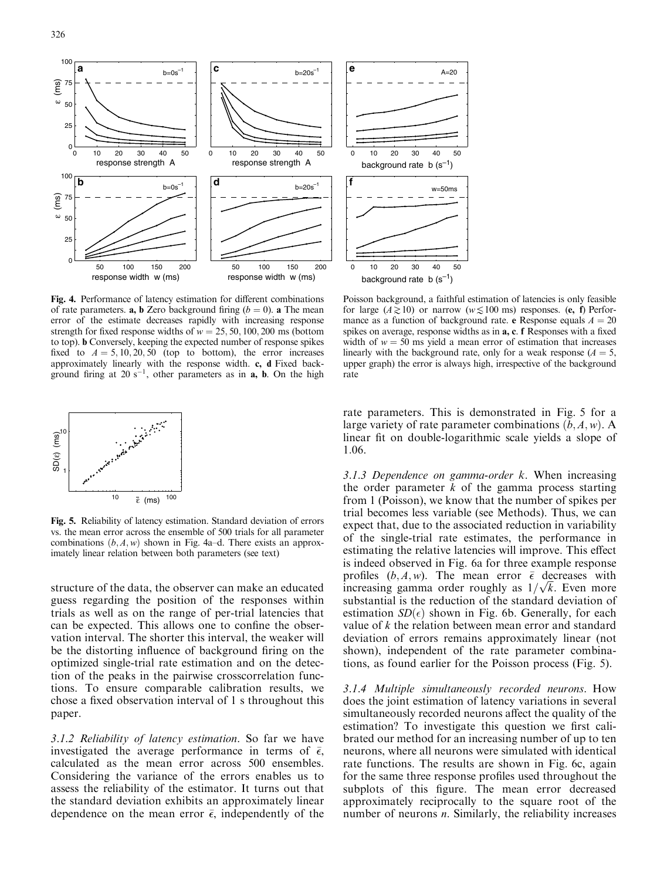

Fig. 4. Performance of latency estimation for different combinations of rate parameters. **a, b** Zero background firing  $(b = 0)$ . **a** The mean error of the estimate decreases rapidly with increasing response strength for fixed response widths of  $w = 25, 50, 100, 200$  ms (bottom to top). b Conversely, keeping the expected number of response spikes fixed to  $A = 5, 10, 20, 50$  (top to bottom), the error increases approximately linearly with the response width. c, d Fixed background firing at  $20 s^{-1}$ , other parameters as in **a**, **b**. On the high



Fig. 5. Reliability of latency estimation. Standard deviation of errors vs. the mean error across the ensemble of 500 trials for all parameter combinations  $(b, A, w)$  shown in Fig. 4a–d. There exists an approximately linear relation between both parameters (see text)

structure of the data, the observer can make an educated guess regarding the position of the responses within trials as well as on the range of per-trial latencies that can be expected. This allows one to confine the observation interval. The shorter this interval, the weaker will be the distorting influence of background firing on the optimized single-trial rate estimation and on the detection of the peaks in the pairwise crosscorrelation functions. To ensure comparable calibration results, we chose a fixed observation interval of 1 s throughout this paper.

3.1.2 Reliability of latency estimation. So far we have investigated the average performance in terms of  $\bar{\epsilon}$ , calculated as the mean error across 500 ensembles. Considering the variance of the errors enables us to assess the reliability of the estimator. It turns out that the standard deviation exhibits an approximately linear dependence on the mean error  $\bar{\epsilon}$ , independently of the

Poisson background, a faithful estimation of latencies is only feasible for large  $(A \ge 10)$  or narrow  $(w \le 100 \text{ ms})$  responses. (e, f) Performance as a function of background rate. e Response equals  $A = 20$ spikes on average, response widths as in a, c. f Responses with a fixed width of  $w = 50$  ms yield a mean error of estimation that increases linearly with the background rate, only for a weak response  $(A = 5,$ upper graph) the error is always high, irrespective of the background rate

 $A-20$ 

rate parameters. This is demonstrated in Fig. 5 for a large variety of rate parameter combinations  $(b, A, w)$ . A linear fit on double-logarithmic scale yields a slope of 1:06.

3.1.3 Dependence on gamma-order k. When increasing the order parameter  $k$  of the gamma process starting from 1 (Poisson), we know that the number of spikes per trial becomes less variable (see Methods). Thus, we can expect that, due to the associated reduction in variability of the single-trial rate estimates, the performance in estimating the relative latencies will improve. This effect is indeed observed in Fig. 6a for three example response profiles  $(b, A, w)$ . The mean error  $\overline{\epsilon}$  decreases with profiles  $(b, A, w)$ . The mean error  $\epsilon$  decreases with increasing gamma order roughly as  $1/\sqrt{k}$ . Even more substantial is the reduction of the standard deviation of estimation  $SD(\epsilon)$  shown in Fig. 6b. Generally, for each value of  $k$  the relation between mean error and standard deviation of errors remains approximately linear (not shown), independent of the rate parameter combinations, as found earlier for the Poisson process (Fig. 5).

3.1.4 Multiple simultaneously recorded neurons. How does the joint estimation of latency variations in several simultaneously recorded neurons affect the quality of the estimation? To investigate this question we first calibrated our method for an increasing number of up to ten neurons, where all neurons were simulated with identical rate functions. The results are shown in Fig. 6c, again for the same three response profiles used throughout the subplots of this figure. The mean error decreased approximately reciprocally to the square root of the number of neurons *n*. Similarly, the reliability increases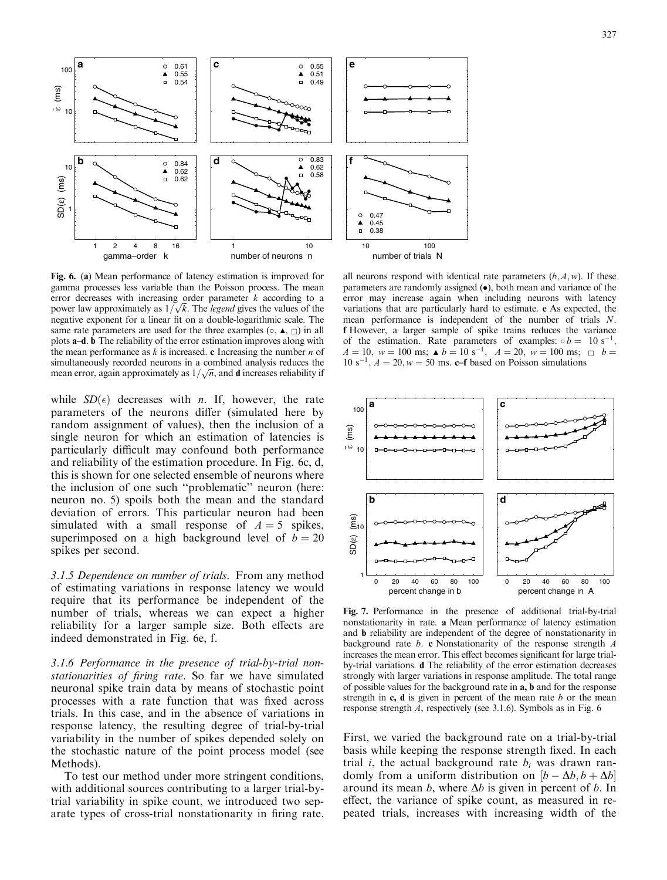

Fig. 6. (a) Mean performance of latency estimation is improved for gamma processes less variable than the Poisson process. The mean error decreases with increasing order parameter  $k$  according to a error decreases with increasing order parameter *k* according to a<br>power law approximately as  $1/\sqrt{k}$ . The *legend* gives the values of the negative exponent for a linear fit on a double-logarithmic scale. The same rate parameters are used for the three examples  $(\circ, \blacktriangle, \sqsubset)$  in all plots a–d. b The reliability of the error estimation improves along with the mean performance as  $k$  is increased. c Increasing the number  $n$  of simultaneously recorded neurons in a combined analysis reduces the simultaneously recorded heurons in a combined analysis reduces the mean error, again approximately as  $1/\sqrt{n}$ , and **d** increases reliability if

while  $SD(\epsilon)$  decreases with *n*. If, however, the rate parameters of the neurons differ (simulated here by random assignment of values), then the inclusion of a single neuron for which an estimation of latencies is particularly difficult may confound both performance and reliability of the estimation procedure. In Fig. 6c, d, this is shown for one selected ensemble of neurons where the inclusion of one such ''problematic'' neuron (here: neuron no. 5) spoils both the mean and the standard deviation of errors. This particular neuron had been simulated with a small response of  $A = 5$  spikes, superimposed on a high background level of  $b = 20$ spikes per second.

3.1.5 Dependence on number of trials. From any method of estimating variations in response latency we would require that its performance be independent of the number of trials, whereas we can expect a higher reliability for a larger sample size. Both effects are indeed demonstrated in Fig. 6e, f.

3.1.6 Performance in the presence of trial-by-trial nonstationarities of firing rate. So far we have simulated neuronal spike train data by means of stochastic point processes with a rate function that was fixed across trials. In this case, and in the absence of variations in response latency, the resulting degree of trial-by-trial variability in the number of spikes depended solely on the stochastic nature of the point process model (see Methods).

To test our method under more stringent conditions, with additional sources contributing to a larger trial-bytrial variability in spike count, we introduced two separate types of cross-trial nonstationarity in firing rate.

all neurons respond with identical rate parameters  $(b, A, w)$ . If these parameters are randomly assigned  $(\bullet)$ , both mean and variance of the error may increase again when including neurons with latency variations that are particularly hard to estimate. e As expected, the mean performance is independent of the number of trials N. f However, a larger sample of spike trains reduces the variance of the estimation. Rate parameters of examples:  $\circ b = 10 \text{ s}^{-1}$  $A = 10$ ,  $w = 100$  ms;  $\triangle b = 10$  s<sup>-1</sup>,  $A = 20$ ,  $w = 100$  ms;  $\Box b = 100$ 10 s<sup>-1</sup>,  $A = 20$ ,  $w = 50$  ms. c–f based on Poisson simulations



Fig. 7. Performance in the presence of additional trial-by-trial nonstationarity in rate. a Mean performance of latency estimation and b reliability are independent of the degree of nonstationarity in background rate  $b$ . c Nonstationarity of the response strength  $A$ increases the mean error. This effect becomes significant for large trialby-trial variations. d The reliability of the error estimation decreases strongly with larger variations in response amplitude. The total range of possible values for the background rate in a, b and for the response strength in  $c$ ,  $d$  is given in percent of the mean rate  $b$  or the mean response strength A, respectively (see 3.1.6). Symbols as in Fig. 6

First, we varied the background rate on a trial-by-trial basis while keeping the response strength fixed. In each trial *i*, the actual background rate  $b_i$  was drawn randomly from a uniform distribution on  $[b - \Delta b, b + \Delta b]$ around its mean b, where  $\Delta b$  is given in percent of b. In effect, the variance of spike count, as measured in repeated trials, increases with increasing width of the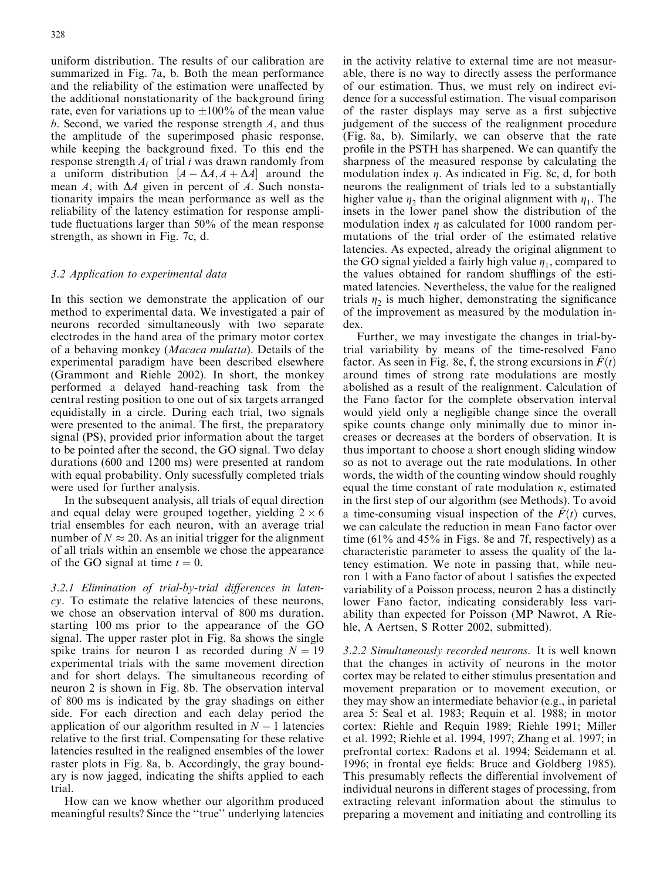uniform distribution. The results of our calibration are summarized in Fig. 7a, b. Both the mean performance and the reliability of the estimation were unaffected by the additional nonstationarity of the background firing rate, even for variations up to  $\pm 100\%$  of the mean value b. Second, we varied the response strength A, and thus the amplitude of the superimposed phasic response, while keeping the background fixed. To this end the response strength  $A_i$  of trial i was drawn randomly from a uniform distribution  $[A - \Delta A, A + \Delta A]$  around the mean A, with  $\Delta A$  given in percent of A. Such nonstationarity impairs the mean performance as well as the reliability of the latency estimation for response amplitude fluctuations larger than 50% of the mean response strength, as shown in Fig. 7c, d.

# 3.2 Application to experimental data

In this section we demonstrate the application of our method to experimental data. We investigated a pair of neurons recorded simultaneously with two separate electrodes in the hand area of the primary motor cortex of a behaving monkey (Macaca mulatta). Details of the experimental paradigm have been described elsewhere (Grammont and Riehle 2002). In short, the monkey performed a delayed hand-reaching task from the central resting position to one out of six targets arranged equidistally in a circle. During each trial, two signals were presented to the animal. The first, the preparatory signal (PS), provided prior information about the target to be pointed after the second, the GO signal. Two delay durations (600 and 1200 ms) were presented at random with equal probability. Only sucessfully completed trials were used for further analysis.

In the subsequent analysis, all trials of equal direction and equal delay were grouped together, yielding  $2 \times 6$ trial ensembles for each neuron, with an average trial number of  $N \approx 20$ . As an initial trigger for the alignment of all trials within an ensemble we chose the appearance of the GO signal at time  $t = 0$ .

3.2.1 Elimination of trial-by-trial differences in latency. To estimate the relative latencies of these neurons, we chose an observation interval of 800 ms duration, starting 100 ms prior to the appearance of the GO signal. The upper raster plot in Fig. 8a shows the single spike trains for neuron 1 as recorded during  $N = 19$ experimental trials with the same movement direction and for short delays. The simultaneous recording of neuron 2 is shown in Fig. 8b. The observation interval of 800 ms is indicated by the gray shadings on either side. For each direction and each delay period the application of our algorithm resulted in  $N - 1$  latencies relative to the first trial. Compensating for these relative latencies resulted in the realigned ensembles of the lower raster plots in Fig. 8a, b. Accordingly, the gray boundary is now jagged, indicating the shifts applied to each trial.

How can we know whether our algorithm produced meaningful results? Since the ''true'' underlying latencies in the activity relative to external time are not measurable, there is no way to directly assess the performance of our estimation. Thus, we must rely on indirect evidence for a successful estimation. The visual comparison of the raster displays may serve as a first subjective judgement of the success of the realignment procedure (Fig. 8a, b). Similarly, we can observe that the rate profile in the PSTH has sharpened. We can quantify the sharpness of the measured response by calculating the modulation index  $\eta$ . As indicated in Fig. 8c, d, for both neurons the realignment of trials led to a substantially higher value  $\eta_2$  than the original alignment with  $\eta_1$ . The insets in the lower panel show the distribution of the modulation index  $\eta$  as calculated for 1000 random permutations of the trial order of the estimated relative latencies. As expected, already the original alignment to the GO signal yielded a fairly high value  $\eta_1$ , compared to the values obtained for random shufflings of the estimated latencies. Nevertheless, the value for the realigned trials  $\eta_2$  is much higher, demonstrating the significance of the improvement as measured by the modulation index.

Further, we may investigate the changes in trial-bytrial variability by means of the time-resolved Fano factor. As seen in Fig. 8e, f, the strong excursions in  $\hat{F}(t)$ around times of strong rate modulations are mostly abolished as a result of the realignment. Calculation of the Fano factor for the complete observation interval would yield only a negligible change since the overall spike counts change only minimally due to minor increases or decreases at the borders of observation. It is thus important to choose a short enough sliding window so as not to average out the rate modulations. In other words, the width of the counting window should roughly equal the time constant of rate modulation  $\kappa$ , estimated in the first step of our algorithm (see Methods). To avoid a time-consuming visual inspection of the  $F(t)$  curves, we can calculate the reduction in mean Fano factor over time (61% and 45% in Figs. 8e and 7f, respectively) as a characteristic parameter to assess the quality of the latency estimation. We note in passing that, while neuron 1 with a Fano factor of about 1 satisfies the expected variability of a Poisson process, neuron 2 has a distinctly lower Fano factor, indicating considerably less variability than expected for Poisson (MP Nawrot, A Riehle, A Aertsen, S Rotter 2002, submitted).

3.2.2 Simultaneously recorded neurons. It is well known that the changes in activity of neurons in the motor cortex may be related to either stimulus presentation and movement preparation or to movement execution, or they may show an intermediate behavior (e.g., in parietal area 5: Seal et al. 1983; Requin et al. 1988; in motor cortex: Riehle and Requin 1989; Riehle 1991; Miller et al. 1992; Riehle et al. 1994, 1997; Zhang et al. 1997; in prefrontal cortex: Radons et al. 1994; Seidemann et al. 1996; in frontal eye fields: Bruce and Goldberg 1985). This presumably reflects the differential involvement of individual neurons in different stages of processing, from extracting relevant information about the stimulus to preparing a movement and initiating and controlling its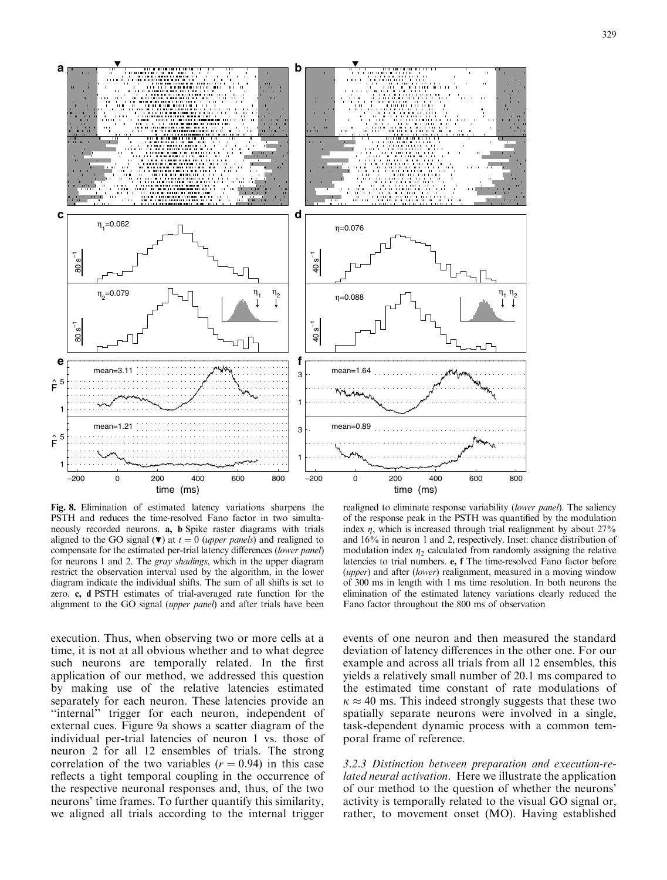

Fig. 8. Elimination of estimated latency variations sharpens the PSTH and reduces the time-resolved Fano factor in two simultaneously recorded neurons. a, b Spike raster diagrams with trials aligned to the GO signal ( $\nabla$ ) at  $t = 0$  (upper panels) and realigned to compensate for the estimated per-trial latency differences (lower panel) for neurons 1 and 2. The gray shadings, which in the upper diagram restrict the observation interval used by the algorithm, in the lower diagram indicate the individual shifts. The sum of all shifts is set to zero. c, d PSTH estimates of trial-averaged rate function for the alignment to the GO signal (upper panel) and after trials have been

execution. Thus, when observing two or more cells at a time, it is not at all obvious whether and to what degree such neurons are temporally related. In the first application of our method, we addressed this question by making use of the relative latencies estimated separately for each neuron. These latencies provide an "internal" trigger for each neuron, independent of external cues. Figure 9a shows a scatter diagram of the individual per-trial latencies of neuron 1 vs. those of neuron 2 for all 12 ensembles of trials. The strong correlation of the two variables  $(r = 0.94)$  in this case reflects a tight temporal coupling in the occurrence of the respective neuronal responses and, thus, of the two neurons' time frames. To further quantify this similarity, we aligned all trials according to the internal trigger

realigned to eliminate response variability (lower panel). The saliency of the response peak in the PSTH was quantified by the modulation index  $\eta$ , which is increased through trial realignment by about 27% and 16% in neuron 1 and 2, respectively. Inset: chance distribution of modulation index  $\eta_2$  calculated from randomly assigning the relative latencies to trial numbers. e, f The time-resolved Fano factor before (upper) and after (lower) realignment, measured in a moving window of 300 ms in length with 1 ms time resolution. In both neurons the elimination of the estimated latency variations clearly reduced the Fano factor throughout the 800 ms of observation

events of one neuron and then measured the standard deviation of latency differences in the other one. For our example and across all trials from all 12 ensembles, this yields a relatively small number of 20:1 ms compared to the estimated time constant of rate modulations of  $\kappa \approx 40$  ms. This indeed strongly suggests that these two spatially separate neurons were involved in a single, task-dependent dynamic process with a common temporal frame of reference.

3.2.3 Distinction between preparation and execution-related neural activation. Here we illustrate the application of our method to the question of whether the neurons' activity is temporally related to the visual GO signal or, rather, to movement onset (MO). Having established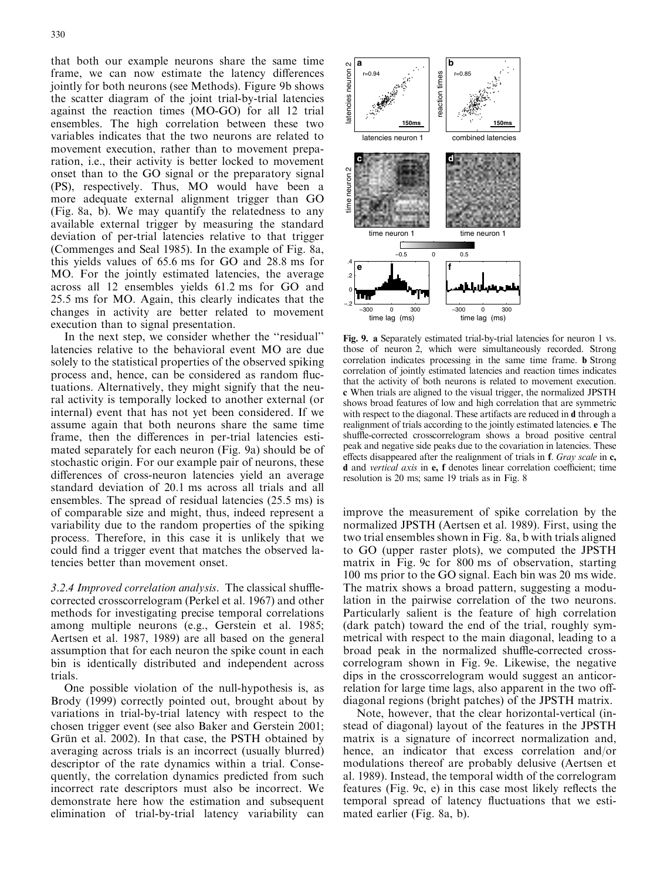against the reaction times (MO-GO) for all 12 trial ensembles. The high correlation between these two variables indicates that the two neurons are related to movement execution, rather than to movement preparation, i.e., their activity is better locked to movement onset than to the GO signal or the preparatory signal (PS), respectively. Thus, MO would have been a more adequate external alignment trigger than GO (Fig. 8a, b). We may quantify the relatedness to any available external trigger by measuring the standard deviation of per-trial latencies relative to that trigger (Commenges and Seal 1985). In the example of Fig. 8a, this yields values of 65:6 ms for GO and 28:8 ms for MO. For the jointly estimated latencies, the average across all 12 ensembles yields 61:2 ms for GO and 25:5 ms for MO. Again, this clearly indicates that the changes in activity are better related to movement execution than to signal presentation.

In the next step, we consider whether the ''residual'' latencies relative to the behavioral event MO are due solely to the statistical properties of the observed spiking process and, hence, can be considered as random fluctuations. Alternatively, they might signify that the neural activity is temporally locked to another external (or internal) event that has not yet been considered. If we assume again that both neurons share the same time frame, then the differences in per-trial latencies estimated separately for each neuron (Fig. 9a) should be of stochastic origin. For our example pair of neurons, these differences of cross-neuron latencies yield an average standard deviation of 20:1 ms across all trials and all ensembles. The spread of residual latencies (25:5 ms) is of comparable size and might, thus, indeed represent a variability due to the random properties of the spiking process. Therefore, in this case it is unlikely that we could find a trigger event that matches the observed latencies better than movement onset.

3.2.4 Improved correlation analysis. The classical shufflecorrected crosscorrelogram (Perkel et al. 1967) and other methods for investigating precise temporal correlations among multiple neurons (e.g., Gerstein et al. 1985; Aertsen et al. 1987, 1989) are all based on the general assumption that for each neuron the spike count in each bin is identically distributed and independent across trials.

One possible violation of the null-hypothesis is, as Brody (1999) correctly pointed out, brought about by variations in trial-by-trial latency with respect to the chosen trigger event (see also Baker and Gerstein 2001; Grün et al. 2002). In that case, the PSTH obtained by averaging across trials is an incorrect (usually blurred) descriptor of the rate dynamics within a trial. Consequently, the correlation dynamics predicted from such incorrect rate descriptors must also be incorrect. We demonstrate here how the estimation and subsequent elimination of trial-by-trial latency variability can



Fig. 9. a Separately estimated trial-by-trial latencies for neuron 1 vs. those of neuron 2, which were simultaneously recorded. Strong correlation indicates processing in the same time frame. b Strong correlation of jointly estimated latencies and reaction times indicates that the activity of both neurons is related to movement execution. c When trials are aligned to the visual trigger, the normalized JPSTH shows broad features of low and high correlation that are symmetric with respect to the diagonal. These artifacts are reduced in d through a realignment of trials according to the jointly estimated latencies. e The shuffle-corrected crosscorrelogram shows a broad positive central peak and negative side peaks due to the covariation in latencies. These effects disappeared after the realignment of trials in f. Gray scale in c, d and vertical axis in e, f denotes linear correlation coefficient; time resolution is 20 ms; same 19 trials as in Fig. 8

improve the measurement of spike correlation by the normalized JPSTH (Aertsen et al. 1989). First, using the two trial ensembles shown in Fig. 8a, b with trials aligned to GO (upper raster plots), we computed the JPSTH matrix in Fig. 9c for 800 ms of observation, starting 100 ms prior to the GO signal. Each bin was 20 ms wide. The matrix shows a broad pattern, suggesting a modulation in the pairwise correlation of the two neurons. Particularly salient is the feature of high correlation (dark patch) toward the end of the trial, roughly symmetrical with respect to the main diagonal, leading to a broad peak in the normalized shuffle-corrected crosscorrelogram shown in Fig. 9e. Likewise, the negative dips in the crosscorrelogram would suggest an anticorrelation for large time lags, also apparent in the two offdiagonal regions (bright patches) of the JPSTH matrix.

Note, however, that the clear horizontal-vertical (instead of diagonal) layout of the features in the JPSTH matrix is a signature of incorrect normalization and, hence, an indicator that excess correlation and/or modulations thereof are probably delusive (Aertsen et al. 1989). Instead, the temporal width of the correlogram features (Fig. 9c, e) in this case most likely reflects the temporal spread of latency fluctuations that we estimated earlier (Fig. 8a, b).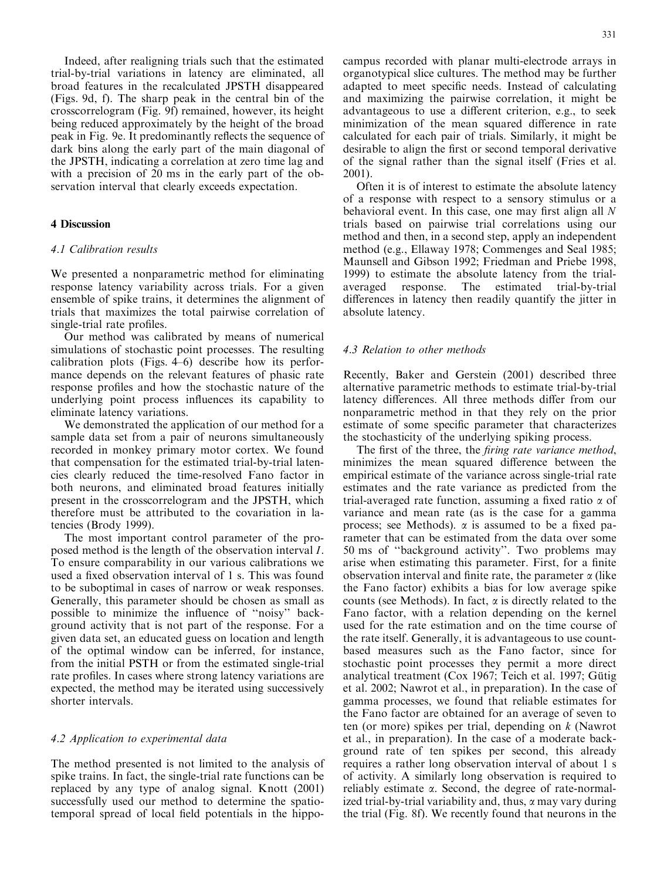Indeed, after realigning trials such that the estimated trial-by-trial variations in latency are eliminated, all broad features in the recalculated JPSTH disappeared (Figs. 9d, f). The sharp peak in the central bin of the crosscorrelogram (Fig. 9f) remained, however, its height being reduced approximately by the height of the broad peak in Fig. 9e. It predominantly reflects the sequence of dark bins along the early part of the main diagonal of the JPSTH, indicating a correlation at zero time lag and with a precision of 20 ms in the early part of the observation interval that clearly exceeds expectation.

# 4 Discussion

# 4.1 Calibration results

We presented a nonparametric method for eliminating response latency variability across trials. For a given ensemble of spike trains, it determines the alignment of trials that maximizes the total pairwise correlation of single-trial rate profiles.

Our method was calibrated by means of numerical simulations of stochastic point processes. The resulting calibration plots (Figs. 4–6) describe how its performance depends on the relevant features of phasic rate response profiles and how the stochastic nature of the underlying point process influences its capability to eliminate latency variations.

We demonstrated the application of our method for a sample data set from a pair of neurons simultaneously recorded in monkey primary motor cortex. We found that compensation for the estimated trial-by-trial latencies clearly reduced the time-resolved Fano factor in both neurons, and eliminated broad features initially present in the crosscorrelogram and the JPSTH, which therefore must be attributed to the covariation in latencies (Brody 1999).

The most important control parameter of the proposed method is the length of the observation interval I. To ensure comparability in our various calibrations we used a fixed observation interval of 1 s. This was found to be suboptimal in cases of narrow or weak responses. Generally, this parameter should be chosen as small as possible to minimize the influence of ''noisy'' background activity that is not part of the response. For a given data set, an educated guess on location and length of the optimal window can be inferred, for instance, from the initial PSTH or from the estimated single-trial rate profiles. In cases where strong latency variations are expected, the method may be iterated using successively shorter intervals.

#### 4.2 Application to experimental data

The method presented is not limited to the analysis of spike trains. In fact, the single-trial rate functions can be replaced by any type of analog signal. Knott (2001) successfully used our method to determine the spatiotemporal spread of local field potentials in the hippocampus recorded with planar multi-electrode arrays in organotypical slice cultures. The method may be further adapted to meet specific needs. Instead of calculating and maximizing the pairwise correlation, it might be advantageous to use a different criterion, e.g., to seek minimization of the mean squared difference in rate calculated for each pair of trials. Similarly, it might be desirable to align the first or second temporal derivative of the signal rather than the signal itself (Fries et al. 2001).

Often it is of interest to estimate the absolute latency of a response with respect to a sensory stimulus or a behavioral event. In this case, one may first align all N trials based on pairwise trial correlations using our method and then, in a second step, apply an independent method (e.g., Ellaway 1978; Commenges and Seal 1985; Maunsell and Gibson 1992; Friedman and Priebe 1998, 1999) to estimate the absolute latency from the trialaveraged response. The estimated trial-by-trial differences in latency then readily quantify the jitter in absolute latency.

# 4.3 Relation to other methods

Recently, Baker and Gerstein (2001) described three alternative parametric methods to estimate trial-by-trial latency differences. All three methods differ from our nonparametric method in that they rely on the prior estimate of some specific parameter that characterizes the stochasticity of the underlying spiking process.

The first of the three, the *firing rate variance method*, minimizes the mean squared difference between the empirical estimate of the variance across single-trial rate estimates and the rate variance as predicted from the trial-averaged rate function, assuming a fixed ratio  $\alpha$  of variance and mean rate (as is the case for a gamma process; see Methods).  $\alpha$  is assumed to be a fixed parameter that can be estimated from the data over some 50 ms of ''background activity''. Two problems may arise when estimating this parameter. First, for a finite observation interval and finite rate, the parameter  $\alpha$  (like the Fano factor) exhibits a bias for low average spike counts (see Methods). In fact,  $\alpha$  is directly related to the Fano factor, with a relation depending on the kernel used for the rate estimation and on the time course of the rate itself. Generally, it is advantageous to use countbased measures such as the Fano factor, since for stochastic point processes they permit a more direct analytical treatment ( $\cos 1967$ ; Teich et al. 1997; Gütig et al. 2002; Nawrot et al., in preparation). In the case of gamma processes, we found that reliable estimates for the Fano factor are obtained for an average of seven to ten (or more) spikes per trial, depending on k (Nawrot et al., in preparation). In the case of a moderate background rate of ten spikes per second, this already requires a rather long observation interval of about 1 s of activity. A similarly long observation is required to reliably estimate  $\alpha$ . Second, the degree of rate-normalized trial-by-trial variability and, thus,  $\alpha$  may vary during the trial (Fig. 8f). We recently found that neurons in the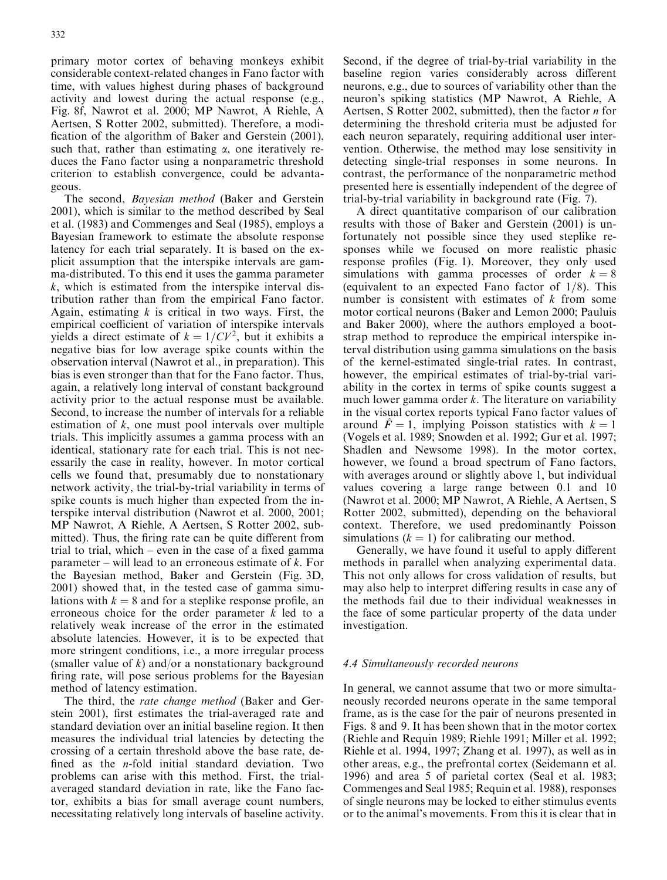primary motor cortex of behaving monkeys exhibit considerable context-related changes in Fano factor with time, with values highest during phases of background activity and lowest during the actual response (e.g., Fig. 8f, Nawrot et al. 2000; MP Nawrot, A Riehle, A Aertsen, S Rotter 2002, submitted). Therefore, a modification of the algorithm of Baker and Gerstein (2001), such that, rather than estimating  $\alpha$ , one iteratively reduces the Fano factor using a nonparametric threshold criterion to establish convergence, could be advantageous.

The second, Bayesian method (Baker and Gerstein 2001), which is similar to the method described by Seal et al. (1983) and Commenges and Seal (1985), employs a Bayesian framework to estimate the absolute response latency for each trial separately. It is based on the explicit assumption that the interspike intervals are gamma-distributed. To this end it uses the gamma parameter  $k$ , which is estimated from the interspike interval distribution rather than from the empirical Fano factor. Again, estimating  $k$  is critical in two ways. First, the empirical coefficient of variation of interspike intervals yields a direct estimate of  $k = 1/CV^2$ , but it exhibits a negative bias for low average spike counts within the observation interval (Nawrot et al., in preparation). This bias is even stronger than that for the Fano factor. Thus, again, a relatively long interval of constant background activity prior to the actual response must be available. Second, to increase the number of intervals for a reliable estimation of  $k$ , one must pool intervals over multiple trials. This implicitly assumes a gamma process with an identical, stationary rate for each trial. This is not necessarily the case in reality, however. In motor cortical cells we found that, presumably due to nonstationary network activity, the trial-by-trial variability in terms of spike counts is much higher than expected from the interspike interval distribution (Nawrot et al. 2000, 2001; MP Nawrot, A Riehle, A Aertsen, S Rotter 2002, submitted). Thus, the firing rate can be quite different from trial to trial, which – even in the case of a fixed gamma parameter – will lead to an erroneous estimate of  $k$ . For the Bayesian method, Baker and Gerstein (Fig. 3D, 2001) showed that, in the tested case of gamma simulations with  $k = 8$  and for a steplike response profile, an erroneous choice for the order parameter  $k$  led to a relatively weak increase of the error in the estimated absolute latencies. However, it is to be expected that more stringent conditions, i.e., a more irregular process (smaller value of  $k$ ) and/or a nonstationary background firing rate, will pose serious problems for the Bayesian method of latency estimation.

The third, the rate change method (Baker and Gerstein 2001), first estimates the trial-averaged rate and standard deviation over an initial baseline region. It then measures the individual trial latencies by detecting the crossing of a certain threshold above the base rate, defined as the n-fold initial standard deviation. Two problems can arise with this method. First, the trialaveraged standard deviation in rate, like the Fano factor, exhibits a bias for small average count numbers, necessitating relatively long intervals of baseline activity. Second, if the degree of trial-by-trial variability in the baseline region varies considerably across different neurons, e.g., due to sources of variability other than the neuron's spiking statistics (MP Nawrot, A Riehle, A Aertsen, S Rotter 2002, submitted), then the factor n for determining the threshold criteria must be adjusted for each neuron separately, requiring additional user intervention. Otherwise, the method may lose sensitivity in detecting single-trial responses in some neurons. In contrast, the performance of the nonparametric method presented here is essentially independent of the degree of trial-by-trial variability in background rate (Fig. 7).

A direct quantitative comparison of our calibration results with those of Baker and Gerstein (2001) is unfortunately not possible since they used steplike responses while we focused on more realistic phasic response profiles (Fig. 1). Moreover, they only used simulations with gamma processes of order  $k = 8$ (equivalent to an expected Fano factor of  $1/8$ ). This number is consistent with estimates of  $k$  from some motor cortical neurons (Baker and Lemon 2000; Pauluis and Baker 2000), where the authors employed a bootstrap method to reproduce the empirical interspike interval distribution using gamma simulations on the basis of the kernel-estimated single-trial rates. In contrast, however, the empirical estimates of trial-by-trial variability in the cortex in terms of spike counts suggest a much lower gamma order  $k$ . The literature on variability in the visual cortex reports typical Fano factor values of around  $\hat{F} = 1$ , implying Poisson statistics with  $k = 1$ (Vogels et al. 1989; Snowden et al. 1992; Gur et al. 1997; Shadlen and Newsome 1998). In the motor cortex, however, we found a broad spectrum of Fano factors, with averages around or slightly above 1, but individual values covering a large range between 0:1 and 10 (Nawrot et al. 2000; MP Nawrot, A Riehle, A Aertsen, S Rotter 2002, submitted), depending on the behavioral context. Therefore, we used predominantly Poisson simulations  $(k = 1)$  for calibrating our method.

Generally, we have found it useful to apply different methods in parallel when analyzing experimental data. This not only allows for cross validation of results, but may also help to interpret differing results in case any of the methods fail due to their individual weaknesses in the face of some particular property of the data under investigation.

# 4.4 Simultaneously recorded neurons

In general, we cannot assume that two or more simultaneously recorded neurons operate in the same temporal frame, as is the case for the pair of neurons presented in Figs. 8 and 9. It has been shown that in the motor cortex (Riehle and Requin 1989; Riehle 1991; Miller et al. 1992; Riehle et al. 1994, 1997; Zhang et al. 1997), as well as in other areas, e.g., the prefrontal cortex (Seidemann et al. 1996) and area 5 of parietal cortex (Seal et al. 1983; Commenges and Seal 1985; Requin et al. 1988), responses of single neurons may be locked to either stimulus events or to the animal's movements. From this it is clear that in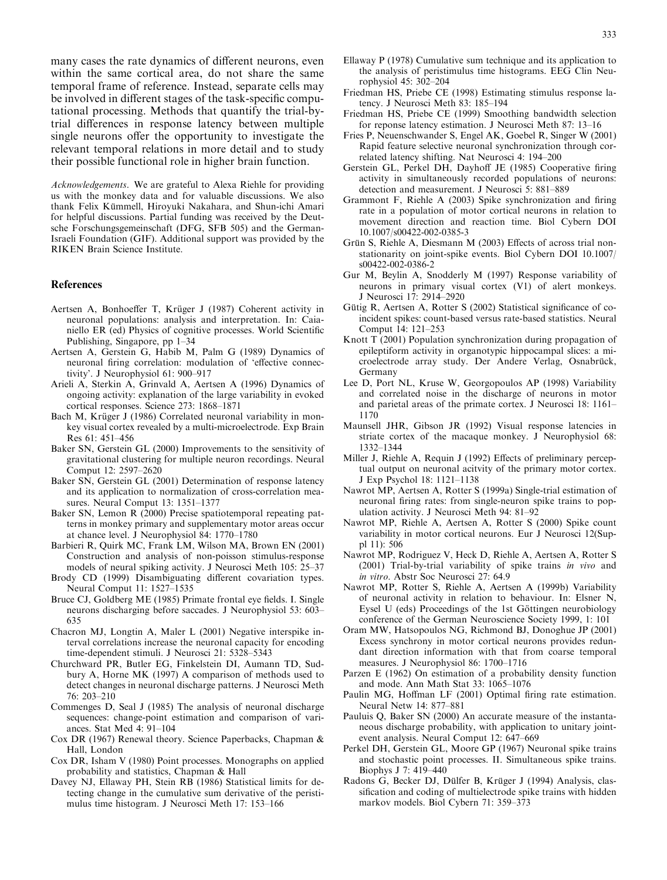many cases the rate dynamics of different neurons, even within the same cortical area, do not share the same temporal frame of reference. Instead, separate cells may be involved in different stages of the task-specific computational processing. Methods that quantify the trial-bytrial differences in response latency between multiple single neurons offer the opportunity to investigate the relevant temporal relations in more detail and to study their possible functional role in higher brain function.

Acknowledgements. We are grateful to Alexa Riehle for providing us with the monkey data and for valuable discussions. We also thank Felix Kümmell, Hiroyuki Nakahara, and Shun-ichi Amari for helpful discussions. Partial funding was received by the Deutsche Forschungsgemeinschaft (DFG, SFB 505) and the German-Israeli Foundation (GIF). Additional support was provided by the RIKEN Brain Science Institute.

#### References

- Aertsen A, Bonhoeffer T, Krüger J (1987) Coherent activity in neuronal populations: analysis and interpretation. In: Caianiello ER (ed) Physics of cognitive processes. World Scientific Publishing, Singapore, pp 1–34
- Aertsen A, Gerstein G, Habib M, Palm G (1989) Dynamics of neuronal firing correlation: modulation of 'effective connectivity'. J Neurophysiol 61: 900–917
- Arieli A, Sterkin A, Grinvald A, Aertsen A (1996) Dynamics of ongoing activity: explanation of the large variability in evoked cortical responses. Science 273: 1868–1871
- Bach M, Krüger J (1986) Correlated neuronal variability in monkey visual cortex revealed by a multi-microelectrode. Exp Brain Res 61: 451–456
- Baker SN, Gerstein GL (2000) Improvements to the sensitivity of gravitational clustering for multiple neuron recordings. Neural Comput 12: 2597–2620
- Baker SN, Gerstein GL (2001) Determination of response latency and its application to normalization of cross-correlation measures. Neural Comput 13: 1351–1377
- Baker SN, Lemon R (2000) Precise spatiotemporal repeating patterns in monkey primary and supplementary motor areas occur at chance level. J Neurophysiol 84: 1770–1780
- Barbieri R, Quirk MC, Frank LM, Wilson MA, Brown EN (2001) Construction and analysis of non-poisson stimulus-response models of neural spiking activity. J Neurosci Meth 105: 25–37
- Brody CD (1999) Disambiguating different covariation types. Neural Comput 11: 1527–1535
- Bruce CJ, Goldberg ME (1985) Primate frontal eye fields. I. Single neurons discharging before saccades. J Neurophysiol 53: 603– 635
- Chacron MJ, Longtin A, Maler L (2001) Negative interspike interval correlations increase the neuronal capacity for encoding time-dependent stimuli. J Neurosci 21: 5328–5343
- Churchward PR, Butler EG, Finkelstein DI, Aumann TD, Sudbury A, Horne MK (1997) A comparison of methods used to detect changes in neuronal discharge patterns. J Neurosci Meth 76: 203–210
- Commenges D, Seal J (1985) The analysis of neuronal discharge sequences: change-point estimation and comparison of variances. Stat Med 4: 91–104
- Cox DR (1967) Renewal theory. Science Paperbacks, Chapman & Hall, London
- Cox DR, Isham V (1980) Point processes. Monographs on applied probability and statistics, Chapman & Hall
- Davey NJ, Ellaway PH, Stein RB (1986) Statistical limits for detecting change in the cumulative sum derivative of the peristimulus time histogram. J Neurosci Meth 17: 153–166
- Ellaway P (1978) Cumulative sum technique and its application to the analysis of peristimulus time histograms. EEG Clin Neurophysiol 45: 302–204
- Friedman HS, Priebe CE (1998) Estimating stimulus response latency. J Neurosci Meth 83: 185–194
- Friedman HS, Priebe CE (1999) Smoothing bandwidth selection for reponse latency estimation. J Neurosci Meth 87: 13–16
- Fries P, Neuenschwander S, Engel AK, Goebel R, Singer W (2001) Rapid feature selective neuronal synchronization through correlated latency shifting. Nat Neurosci 4: 194–200
- Gerstein GL, Perkel DH, Dayhoff JE (1985) Cooperative firing activity in simultaneously recorded populations of neurons: detection and measurement. J Neurosci 5: 881–889
- Grammont F, Riehle A (2003) Spike synchronization and firing rate in a population of motor cortical neurons in relation to movement direction and reaction time. Biol Cybern DOI 10.1007/s00422-002-0385-3
- Grün S, Riehle A, Diesmann M (2003) Effects of across trial nonstationarity on joint-spike events. Biol Cybern DOI 10.1007/ s00422-002-0386-2
- Gur M, Beylin A, Snodderly M (1997) Response variability of neurons in primary visual cortex (V1) of alert monkeys. J Neurosci 17: 2914–2920
- Gütig R, Aertsen A, Rotter S (2002) Statistical significance of coincident spikes: count-based versus rate-based statistics. Neural Comput 14: 121–253
- Knott T (2001) Population synchronization during propagation of epileptiform activity in organotypic hippocampal slices: a microelectrode array study. Der Andere Verlag, Osnabrück, Germany
- Lee D, Port NL, Kruse W, Georgopoulos AP (1998) Variability and correlated noise in the discharge of neurons in motor and parietal areas of the primate cortex. J Neurosci 18: 1161– 1170
- Maunsell JHR, Gibson JR (1992) Visual response latencies in striate cortex of the macaque monkey. J Neurophysiol 68: 1332–1344
- Miller J, Riehle A, Requin J (1992) Effects of preliminary perceptual output on neuronal acitvity of the primary motor cortex. J Exp Psychol 18: 1121–1138
- Nawrot MP, Aertsen A, Rotter S (1999a) Single-trial estimation of neuronal firing rates: from single-neuron spike trains to population activity. J Neurosci Meth 94: 81–92
- Nawrot MP, Riehle A, Aertsen A, Rotter S (2000) Spike count variability in motor cortical neurons. Eur J Neurosci 12(Suppl 11): 506
- Nawrot MP, Rodriguez V, Heck D, Riehle A, Aertsen A, Rotter S (2001) Trial-by-trial variability of spike trains in vivo and in vitro. Abstr Soc Neurosci 27: 64.9
- Nawrot MP, Rotter S, Riehle A, Aertsen A (1999b) Variability of neuronal activity in relation to behaviour. In: Elsner N, Eysel U (eds) Proceedings of the 1st Göttingen neurobiology conference of the German Neuroscience Society 1999, 1: 101
- Oram MW, Hatsopoulos NG, Richmond BJ, Donoghue JP (2001) Excess synchrony in motor cortical neurons provides redundant direction information with that from coarse temporal measures. J Neurophysiol 86: 1700–1716
- Parzen E (1962) On estimation of a probability density function and mode. Ann Math Stat 33: 1065–1076
- Paulin MG, Hoffman LF (2001) Optimal firing rate estimation. Neural Netw 14: 877–881
- Pauluis Q, Baker SN (2000) An accurate measure of the instantaneous discharge probability, with application to unitary jointevent analysis. Neural Comput 12: 647–669
- Perkel DH, Gerstein GL, Moore GP (1967) Neuronal spike trains and stochastic point processes. II. Simultaneous spike trains. Biophys J 7: 419–440
- Radons G, Becker DJ, Dülfer B, Krüger J (1994) Analysis, classification and coding of multielectrode spike trains with hidden markov models. Biol Cybern 71: 359–373